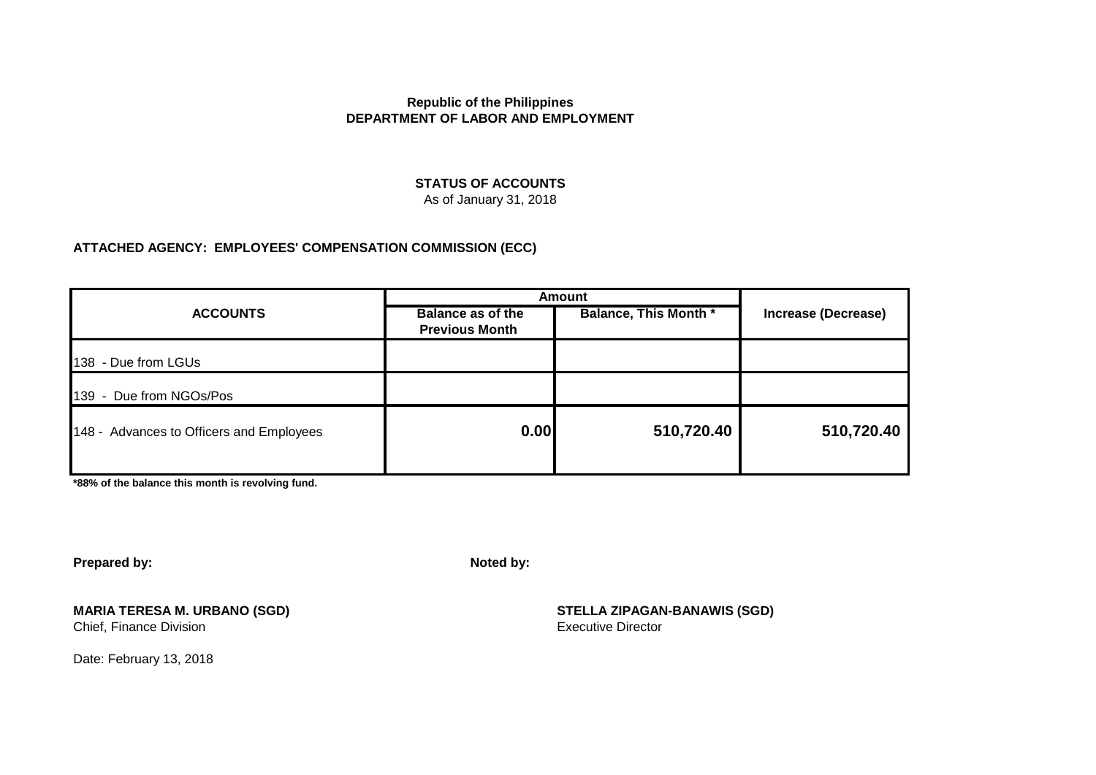#### **STATUS OF ACCOUNTS**

As of January 31, 2018

#### **ATTACHED AGENCY: EMPLOYEES' COMPENSATION COMMISSION (ECC)**

|                                          | <b>Amount</b>                                     |                              |                            |
|------------------------------------------|---------------------------------------------------|------------------------------|----------------------------|
| <b>ACCOUNTS</b>                          | <b>Balance as of the</b><br><b>Previous Month</b> | <b>Balance, This Month *</b> | <b>Increase (Decrease)</b> |
| 138 - Due from LGUs                      |                                                   |                              |                            |
| 139 - Due from NGOs/Pos                  |                                                   |                              |                            |
| 148 - Advances to Officers and Employees | 0.00                                              | 510,720.40                   | 510,720.40                 |

**\*88% of the balance this month is revolving fund.**

**Prepared by: Noted by:**

**MARIA TERESA M. URBANO (SGD) STELLA ZIPAGAN-BANAWIS (SGD)** Chief, Finance Division

Date: February 13, 2018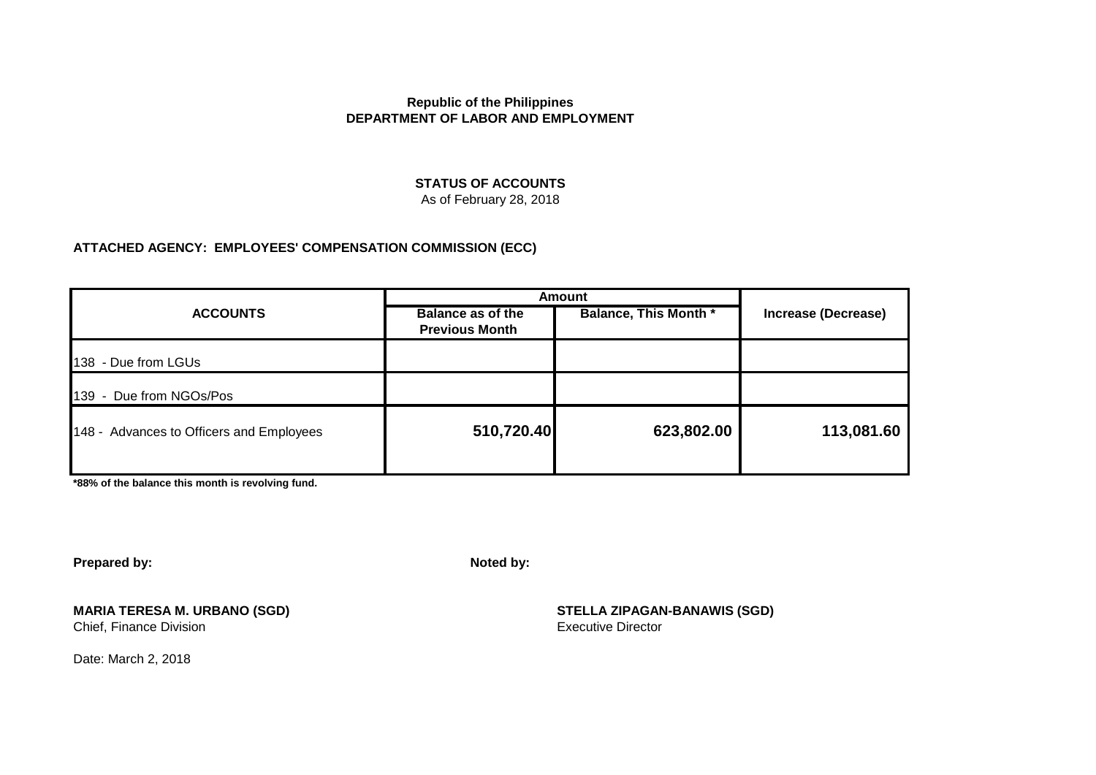#### **STATUS OF ACCOUNTS**

As of February 28, 2018

### **ATTACHED AGENCY: EMPLOYEES' COMPENSATION COMMISSION (ECC)**

|                                          | <b>Amount</b>                                     |                              |                            |
|------------------------------------------|---------------------------------------------------|------------------------------|----------------------------|
| <b>ACCOUNTS</b>                          | <b>Balance as of the</b><br><b>Previous Month</b> | <b>Balance, This Month *</b> | <b>Increase (Decrease)</b> |
| 138 - Due from LGUs                      |                                                   |                              |                            |
| 139 - Due from NGOs/Pos                  |                                                   |                              |                            |
| 148 - Advances to Officers and Employees | 510,720.40                                        | 623,802.00                   | 113,081.60                 |

**\*88% of the balance this month is revolving fund.**

**Prepared by: Noted by:**

**MARIA TERESA M. URBANO (SGD) STELLA ZIPAGAN-BANAWIS (SGD)** Chief, Finance Division

Date: March 2, 2018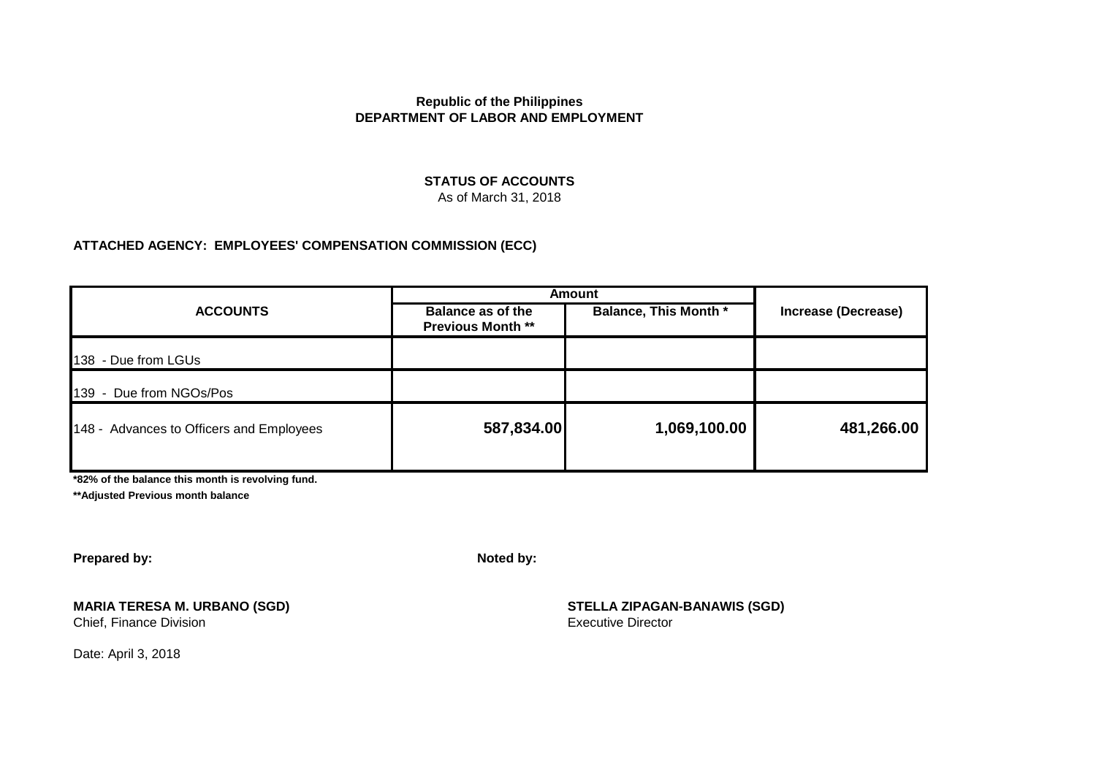#### **STATUS OF ACCOUNTS** As of March 31, 2018

#### **ATTACHED AGENCY: EMPLOYEES' COMPENSATION COMMISSION (ECC)**

| <b>ACCOUNTS</b>                          | <b>Amount</b>                                        |                              |                            |  |
|------------------------------------------|------------------------------------------------------|------------------------------|----------------------------|--|
|                                          | <b>Balance as of the</b><br><b>Previous Month **</b> | <b>Balance, This Month *</b> | <b>Increase (Decrease)</b> |  |
| 138 - Due from LGUs                      |                                                      |                              |                            |  |
| 139 - Due from NGOs/Pos                  |                                                      |                              |                            |  |
| 148 - Advances to Officers and Employees | 587,834.00                                           | 1,069,100.00                 | 481,266.00                 |  |

**\*82% of the balance this month is revolving fund.**

**\*\*Adjusted Previous month balance**

**Prepared by: Noted by:**

Chief, Finance Division

**MARIA TERESA M. URBANO (SGD) STELLA ZIPAGAN-BANAWIS (SGD)**

Date: April 3, 2018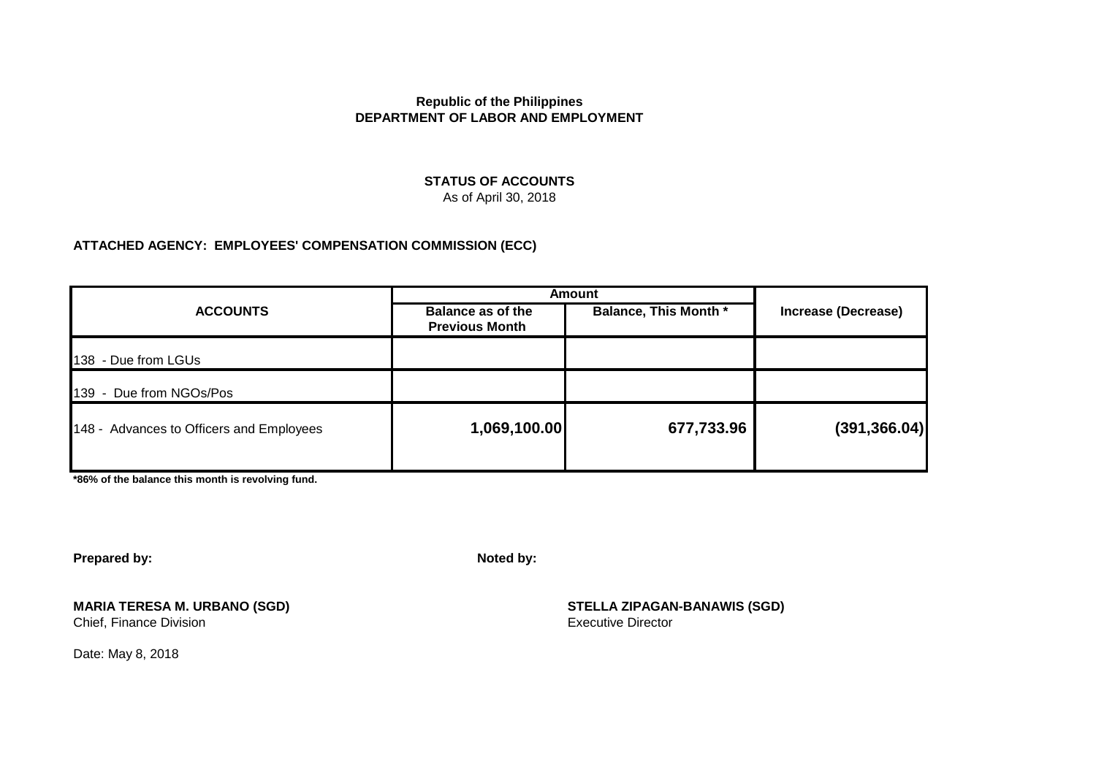#### **STATUS OF ACCOUNTS** As of April 30, 2018

#### **ATTACHED AGENCY: EMPLOYEES' COMPENSATION COMMISSION (ECC)**

| <b>ACCOUNTS</b>                          | <b>Amount</b>                                     |                              |                            |  |
|------------------------------------------|---------------------------------------------------|------------------------------|----------------------------|--|
|                                          | <b>Balance as of the</b><br><b>Previous Month</b> | <b>Balance, This Month *</b> | <b>Increase (Decrease)</b> |  |
| 138 - Due from LGUs                      |                                                   |                              |                            |  |
| 139 - Due from NGOs/Pos                  |                                                   |                              |                            |  |
| 148 - Advances to Officers and Employees | 1,069,100.00                                      | 677,733.96                   | (391, 366.04)              |  |
|                                          |                                                   |                              |                            |  |

**\*86% of the balance this month is revolving fund.**

**Prepared by: Noted by:**

Chief, Finance Division

**MARIA TERESA M. URBANO (SGD)**<br>
Chief. Finance Division<br>
Chief. Finance Division

Date: May 8, 2018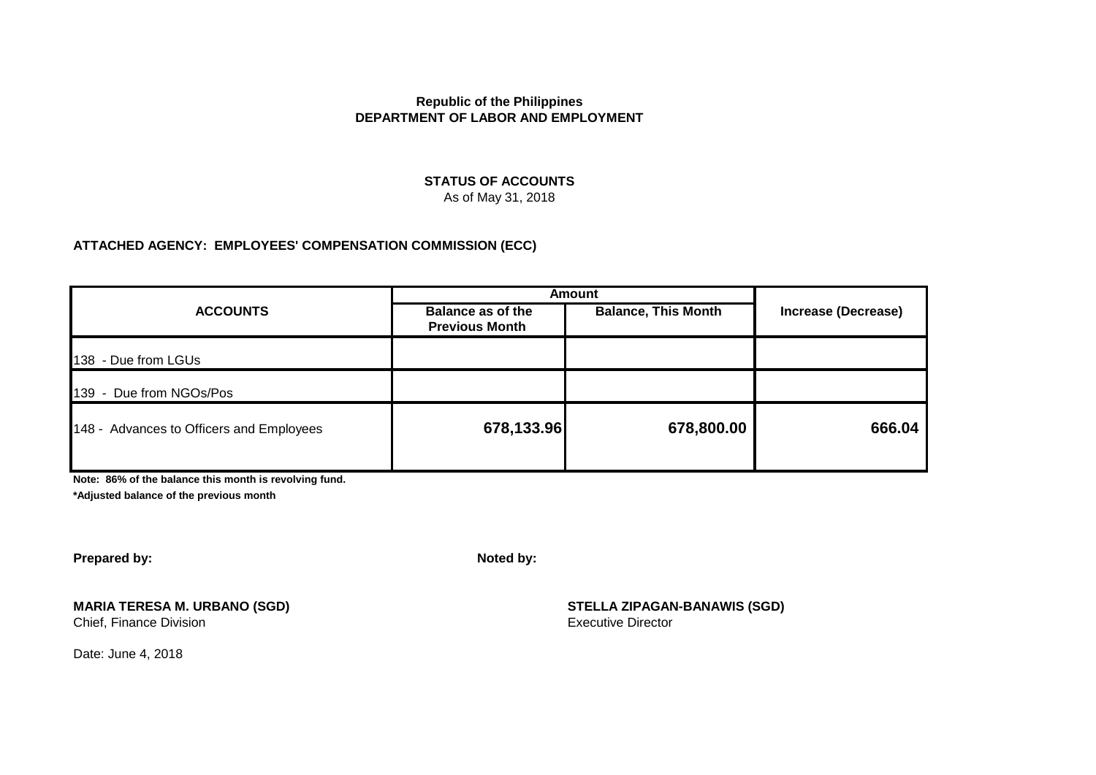#### **STATUS OF ACCOUNTS** As of May 31, 2018

#### **ATTACHED AGENCY: EMPLOYEES' COMPENSATION COMMISSION (ECC)**

|                                          | <b>Amount</b>                                     |                            |                            |  |
|------------------------------------------|---------------------------------------------------|----------------------------|----------------------------|--|
| <b>ACCOUNTS</b>                          | <b>Balance as of the</b><br><b>Previous Month</b> | <b>Balance, This Month</b> | <b>Increase (Decrease)</b> |  |
| 138 - Due from LGUs                      |                                                   |                            |                            |  |
| 139 - Due from NGOs/Pos                  |                                                   |                            |                            |  |
| 148 - Advances to Officers and Employees | 678,133.96                                        | 678,800.00                 | 666.04                     |  |

**Note: 86% of the balance this month is revolving fund.**

**\*Adjusted balance of the previous month**

**Prepared by: Noted by:**

Chief, Finance Division

**MARIA TERESA M. URBANO (SGD) STELLA ZIPAGAN-BANAWIS (SGD)**

Date: June 4, 2018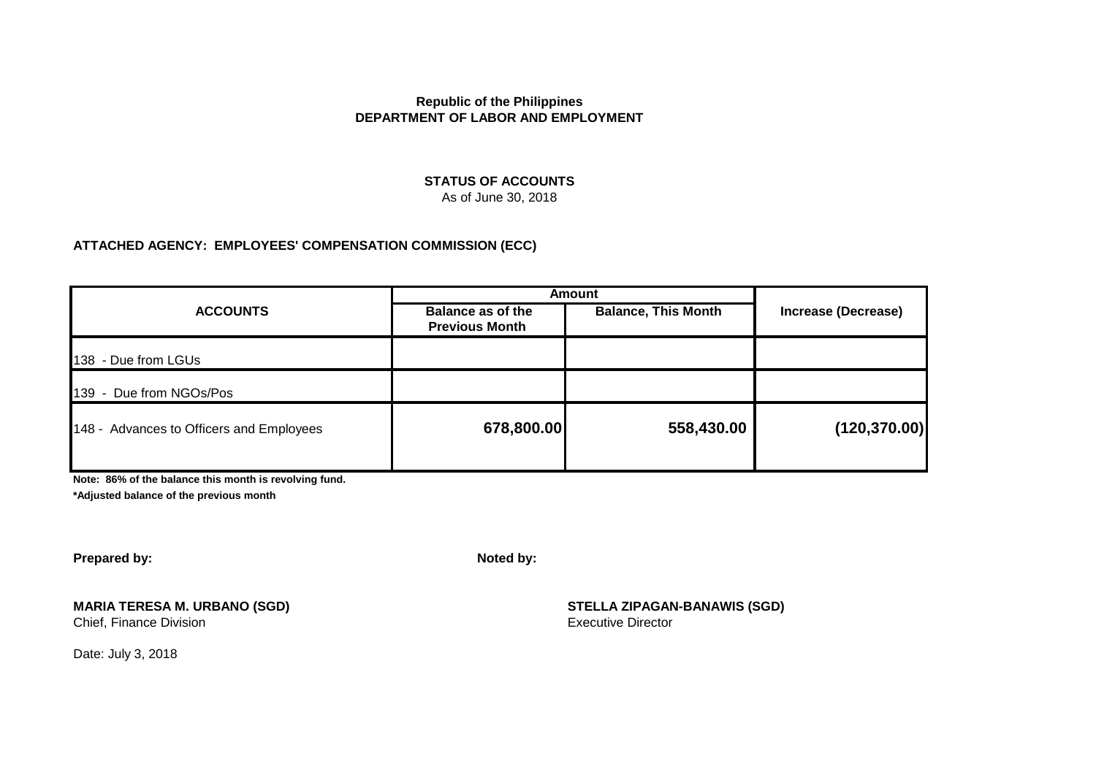#### **STATUS OF ACCOUNTS** As of June 30, 2018

#### **ATTACHED AGENCY: EMPLOYEES' COMPENSATION COMMISSION (ECC)**

|                                          | <b>Amount</b>                                     |                            |                            |  |
|------------------------------------------|---------------------------------------------------|----------------------------|----------------------------|--|
| <b>ACCOUNTS</b>                          | <b>Balance as of the</b><br><b>Previous Month</b> | <b>Balance, This Month</b> | <b>Increase (Decrease)</b> |  |
| 138 - Due from LGUs                      |                                                   |                            |                            |  |
| 139 - Due from NGOs/Pos                  |                                                   |                            |                            |  |
| 148 - Advances to Officers and Employees | 678,800.00                                        | 558,430.00                 | (120, 370.00)              |  |
|                                          |                                                   |                            |                            |  |

**Note: 86% of the balance this month is revolving fund.**

**\*Adjusted balance of the previous month**

**Prepared by: Noted by:**

Chief, Finance Division

**MARIA TERESA M. URBANO (SGD)**<br>
Chief. Finance Division<br>
Chief. Finance Division

Date: July 3, 2018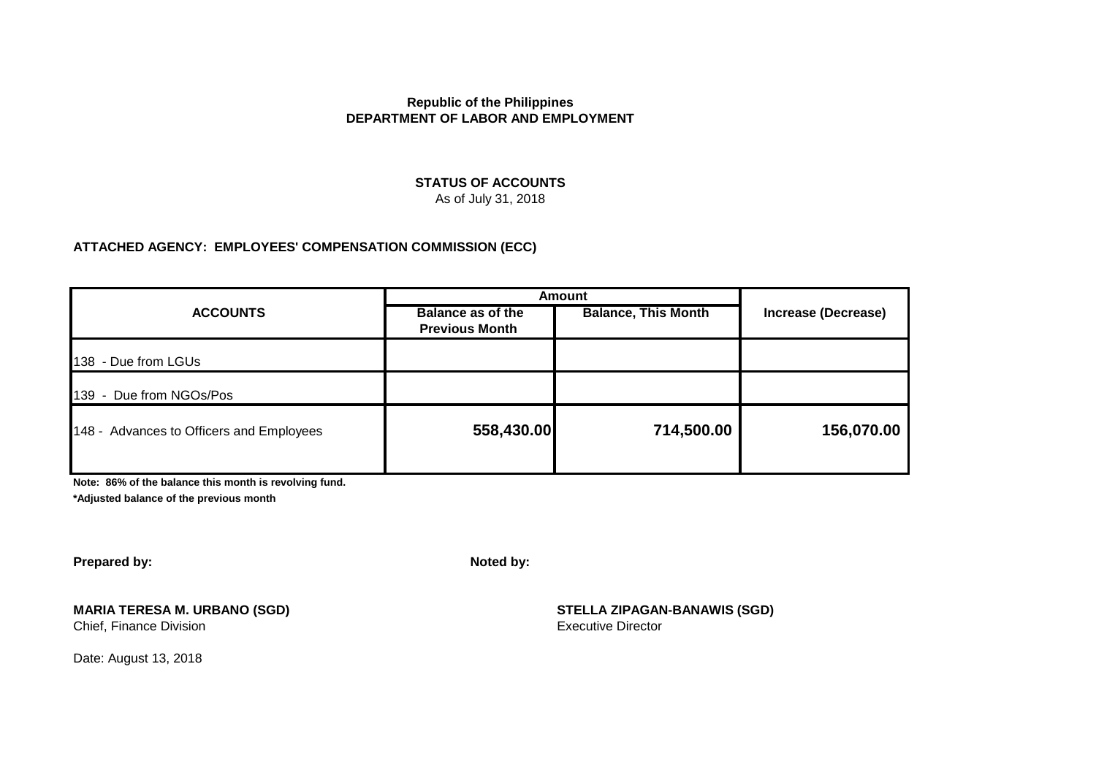# **STATUS OF ACCOUNTS**

As of July 31, 2018

#### **ATTACHED AGENCY: EMPLOYEES' COMPENSATION COMMISSION (ECC)**

|                                          | <b>Amount</b>                                     |                            |                     |  |
|------------------------------------------|---------------------------------------------------|----------------------------|---------------------|--|
| <b>ACCOUNTS</b>                          | <b>Balance as of the</b><br><b>Previous Month</b> | <b>Balance, This Month</b> | Increase (Decrease) |  |
| 138 - Due from LGUs                      |                                                   |                            |                     |  |
| 139 - Due from NGOs/Pos                  |                                                   |                            |                     |  |
| 148 - Advances to Officers and Employees | 558,430.00                                        | 714,500.00                 | 156,070.00          |  |

**Note: 86% of the balance this month is revolving fund.**

**\*Adjusted balance of the previous month**

**Prepared by: Noted by:**

# **MARIA TERESA M. URBANO (SGD) STELLA ZIPAGAN-BANAWIS (SGD)**

Date: August 13, 2018

Chief, Finance Division **Executive Director** Executive Director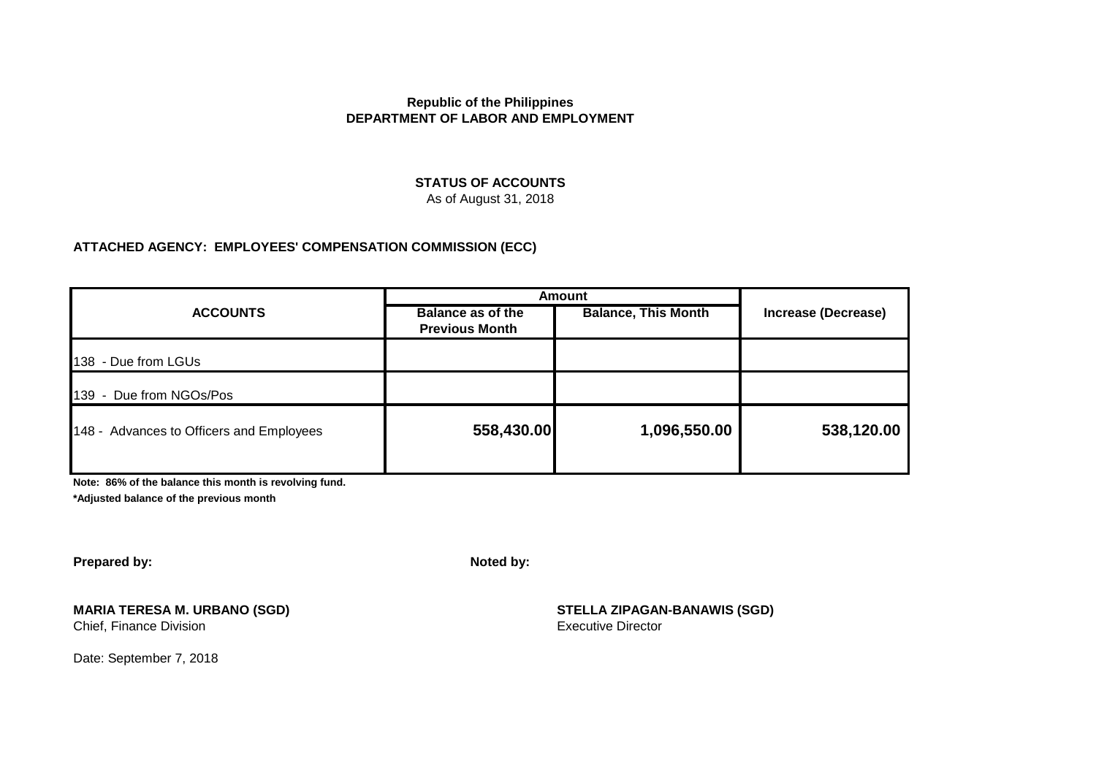# **STATUS OF ACCOUNTS**

As of August 31, 2018

# **ATTACHED AGENCY: EMPLOYEES' COMPENSATION COMMISSION (ECC)**

|                                          | <b>Amount</b>                                     |                            |                     |
|------------------------------------------|---------------------------------------------------|----------------------------|---------------------|
| <b>ACCOUNTS</b>                          | <b>Balance as of the</b><br><b>Previous Month</b> | <b>Balance, This Month</b> | Increase (Decrease) |
| 138 - Due from LGUs                      |                                                   |                            |                     |
| 139 - Due from NGOs/Pos                  |                                                   |                            |                     |
| 148 - Advances to Officers and Employees | 558,430.00                                        | 1,096,550.00               | 538,120.00          |
|                                          |                                                   |                            |                     |

**Note: 86% of the balance this month is revolving fund.**

**\*Adjusted balance of the previous month**

**Prepared by: Noted by:**

# **MARIA TERESA M. URBANO (SGD) STELLA ZIPAGAN-BANAWIS (SGD)**

Date: September 7, 2018

Chief, Finance Division **Executive Director** Executive Director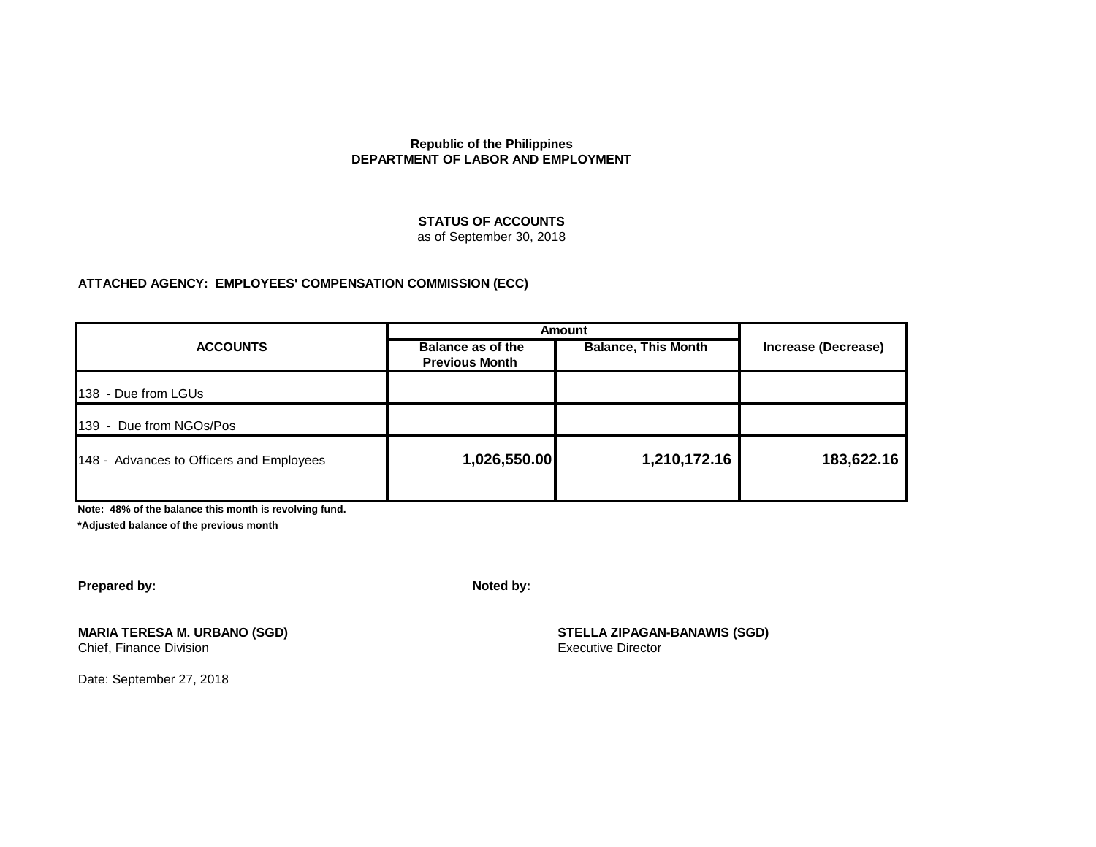#### **STATUS OF ACCOUNTS**

as of September 30, 2018

#### **ATTACHED AGENCY: EMPLOYEES' COMPENSATION COMMISSION (ECC)**

| <b>ACCOUNTS</b>                          | <b>Amount</b>                                     |                            |                     |
|------------------------------------------|---------------------------------------------------|----------------------------|---------------------|
|                                          | <b>Balance as of the</b><br><b>Previous Month</b> | <b>Balance, This Month</b> | Increase (Decrease) |
| 138 - Due from LGUs                      |                                                   |                            |                     |
| 139 - Due from NGOs/Pos                  |                                                   |                            |                     |
| 148 - Advances to Officers and Employees | 1,026,550.00                                      | 1,210,172.16               | 183,622.16          |
|                                          |                                                   |                            |                     |

**Note: 48% of the balance this month is revolving fund.**

**\*Adjusted balance of the previous month**

**Prepared by: Noted by:**

**MARIA TERESA M. URBANO (SGD) STELLA ZIPAGAN-BANAWIS (SGD)** Chief, Finance Division **Executive Director** 

Date: September 27, 2018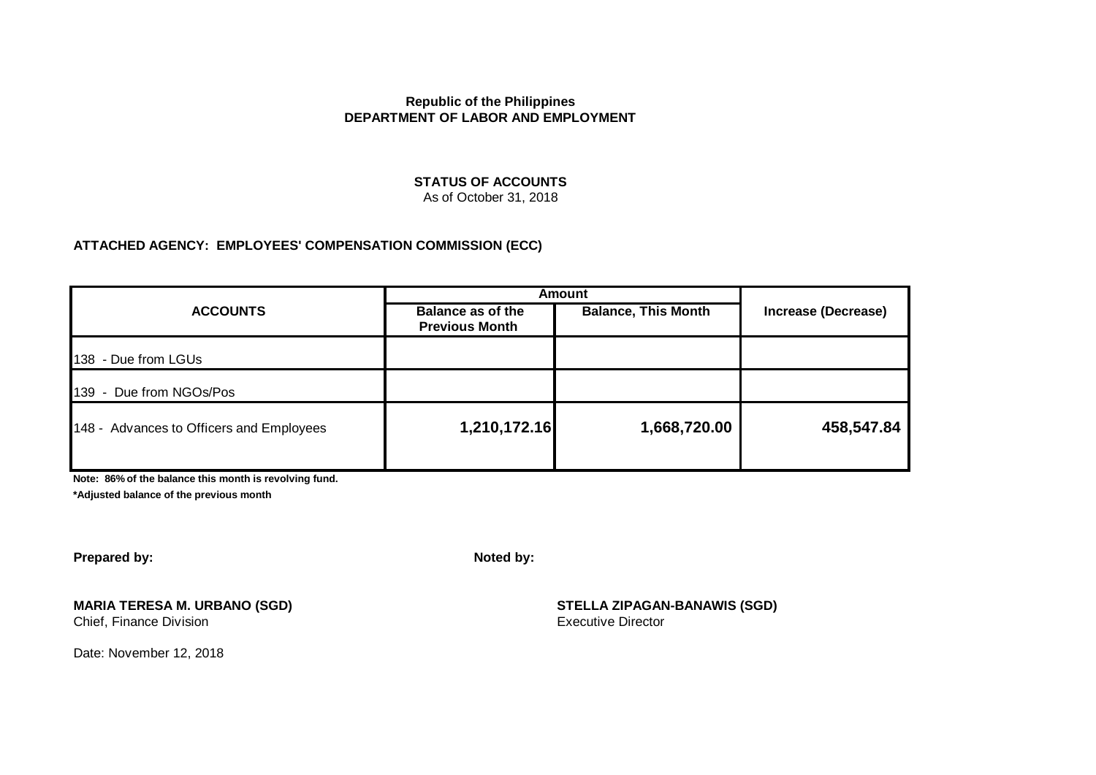#### **STATUS OF ACCOUNTS** As of October 31, 2018

#### **ATTACHED AGENCY: EMPLOYEES' COMPENSATION COMMISSION (ECC)**

|                                          | <b>Amount</b>                                     |                            |                            |  |
|------------------------------------------|---------------------------------------------------|----------------------------|----------------------------|--|
| <b>ACCOUNTS</b>                          | <b>Balance as of the</b><br><b>Previous Month</b> | <b>Balance, This Month</b> | <b>Increase (Decrease)</b> |  |
| 138 - Due from LGUs                      |                                                   |                            |                            |  |
| 139 - Due from NGOs/Pos                  |                                                   |                            |                            |  |
| 148 - Advances to Officers and Employees | 1,210,172.16                                      | 1,668,720.00               | 458,547.84                 |  |

**Note: 86% of the balance this month is revolving fund.**

**\*Adjusted balance of the previous month**

**Prepared by: Noted by:**

#### **MARIA TERESA M. URBANO (SGD) STELLA ZIPAGAN-BANAWIS (SGD)**

Chief, Finance Division **Executive Director** Executive Director

Date: November 12, 2018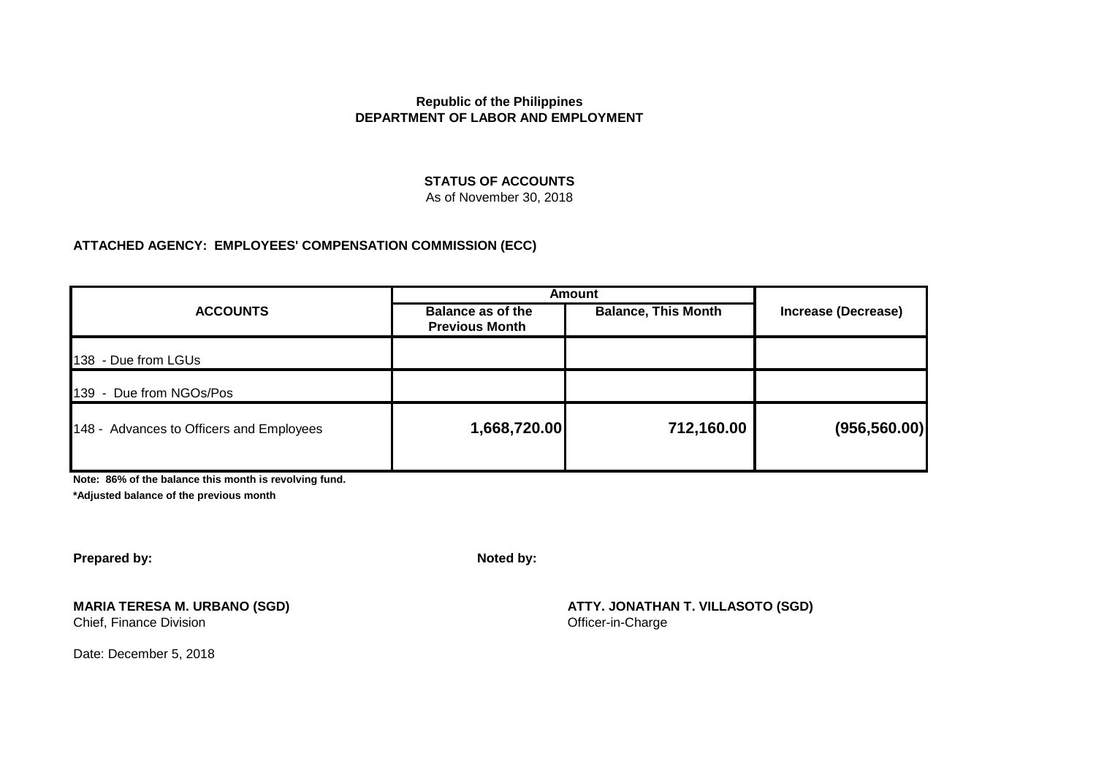# **STATUS OF ACCOUNTS**

# As of November 30, 2018

#### **ATTACHED AGENCY: EMPLOYEES' COMPENSATION COMMISSION (ECC)**

|                                          | <b>Amount</b>                                     |                            |                            |  |
|------------------------------------------|---------------------------------------------------|----------------------------|----------------------------|--|
| <b>ACCOUNTS</b>                          | <b>Balance as of the</b><br><b>Previous Month</b> | <b>Balance, This Month</b> | <b>Increase (Decrease)</b> |  |
| 138 - Due from LGUs                      |                                                   |                            |                            |  |
| 139 - Due from NGOs/Pos                  |                                                   |                            |                            |  |
| 148 - Advances to Officers and Employees | 1,668,720.00                                      | 712,160.00                 | (956, 560.00)              |  |
|                                          |                                                   |                            |                            |  |

**Note: 86% of the balance this month is revolving fund.**

**\*Adjusted balance of the previous month**

**Prepared by: Noted by:**

Chief, Finance Division

Date: December 5, 2018

**MARIA TERESA M. URBANO (SGD)**<br>
Chief, Finance Division<br>
Chief, Finance Division<br>
Chief, Finance Division